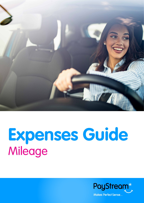

# **Expenses Guide**  Mileage

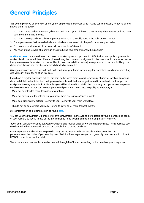# **General Principles**

This guide gives you an overview of the type of employment expenses which HMRC consider qualify for tax relief and how to claim. To qualify:

- 1. You must not be under supervision, direction and control (SDC) of the end client (or any other person) and you have confirmed that this is the case
- 2. You must have agreed that submitting mileage claims on a weekly basis is the right process for you
- 3. The expense must be incurred wholly, exclusively and necessarily in the performance of your duties
- 4. You do not expect to work at the same site for more than 24 months.
- 5. You must intend to work at more than one site during your employment with PayStream

**Additional note:** if you are classed as a 'Mobile Worker' (please skip to section 1 if this does not apply to you)Mobile workers tend to work in lots of different places during the course of an signment. If the way in which you work means that you are a Mobile Worker, you are entitled to claim tax relief for certain journeys which you incur in fulfilling your duties even though you may be supervised directed or controlled:

Mileage expenses incurred when travelling to and from your home to your regular workplace is ordinary commuting and you can't claim tax relief on this cost.

If you have a regular workplace but you are sent by the same client to work temporarily at another location (known as detached duty travel or inter-site travel) you may be able to claim for mileage incurred in travelling to that temporary workplace. An easy way to look at this is that you will be allowed tax relief in the same way as a permanent employee on the site would if he was sent to a temporary workplace. For a workplace to qualify as temporary it:

- Must not be attended more than 40% of your time
- Must not have a regular pattern e.g. you travel there once a week/once a month
- Must be a significantly different journey to your journey to your main workplace
- Should not be somewhere you will or intend to travel to for more than 24 months

More information and examples can be found [here.](https://www.gov.uk/hmrc-internal-manuals/employment-income-manual/eim32080)

You can use the PayStream Expense Portal or the PayStream Phone App to store details of your expenses and copies of your receipts so you will have all the information to hand when it comes to making a claim to HMRC.

Travel and Subsistence claims between your home and regular place of work are not permitted. This is because you are deemed to be supervised, directed or controlled on a day to day basis.

Other expenses may be allowable provided they are incurred wholly, exclusively and necessarily in the performance of the duties of your employment. To claim these expenses you will generally need to submit a claim to HMRC in order to secure tax relief.

There are some expenses that may be claimed through PayStream depending on the details of your assignment.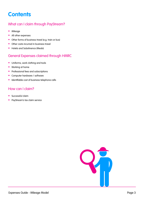# <span id="page-2-0"></span>**Contents**

#### [What can I claim through PayStream?](#page-3-0)

- [Mileage](#page-3-0)
- [All other expenses](#page-3-0)
- [Other forms of business travel \(e.g. train or bus\)](#page-3-0)
- [Other costs incurred in business travel](#page-3-0)
- [Hotels and Substinence \(Meals\)](#page-3-0)

#### [General Expenses claimed through HMRC](#page-4-0)

- [Uniforms, work clothing and tools](#page-4-0)
- [Working at home](#page-4-0)
- [Professional fees and subscriptions](#page-4-0)
- [Computer hardware / software](#page-4-0)
- [Identifiable cost of business telephone calls](#page-4-0)

#### [How can I claim?](#page-5-0)

- [Successful claim](#page-5-0)
- [PayStream's tax claim service](#page-5-0)

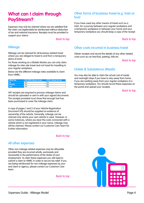## <span id="page-3-0"></span>**What can I claim through PayStream?**

Expenses may only be claimed where we are satisfied that the claim can legitimately be reimbursed without deduction of tax and national insurance. Receipts must be provided to support your claims.

#### [Back to top](#page-2-0)

#### **Mileage**

Mileage can be claimed for all business related travel where you are obliged to travel to and from a temporary place of work.

For those working as a Mobile Worker you can only claim mileage for inter-site travel and not travel for travelling to your regular workplace.

Below are the different mileage rates available to claim from HMRC:

| Vehicle Type | First 10,000 miles per tax year | 10,001+ miles per tax year |
|--------------|---------------------------------|----------------------------|
| Car          | 45 <sub>D</sub>                 | 25 <sub>D</sub>            |
| Motorbike    | 24 <sub>D</sub>                 | 24 <sub>D</sub>            |
| Cycle        | 20 <sub>D</sub>                 | 20 <sub>D</sub>            |

VAT receipts are required to process mileage claims and should be uploaded or sent in with your signed documents. The receipts provided must show that enough fuel has been purchased to cover the mileage claim.

A copy of pages 1 and 2 of your Vehicle Registration Document (V5) should be supplied as evidence of ownership of the vehicle. Generally, mileage can be claimed only where your own vehicle is used. However, in some instances, where you bear the costs connected with a vehicle which is not registered in your name, mileage may still be claimed. Please contact our Customer Care Team for further information.

#### [Back to top](#page-2-0)

#### All other expenses

Other non-mileage related expenses may be allowable provided they are incurred wholly, exclusively and necessarily in the performance of the duties of your employment. To claim these expenses you will need to submit a claim to HMRC in order to secure tax relief. If you are being reimbursed for non-mileage expenses by your end client or agency, please contact our Customer Care team.

[Back to top](#page-2-0)

#### Other forms of business travel (e.g. train or bus)

If you have used any other means of travel such as a train, for a journey between your regular workplace and a temporary workplace or between your home and your temporary workplace you should keep a copy of the receipt.

[Back to top](#page-2-0)

#### Other costs incurred in business travel

Obtain receipts and record the details of any other related costs such as car hire/fuel, parking, tolls etc.

[Back to top](#page-2-0)

#### Hotels & Subsistence (Meals)

You may also be able to claim the actual cost of meals and overnight stays if you have to stay away from home if you are working away from your regular workplace at a temporary workplace. You should record these expenses on the portal and upload your receipts.

[Back to top](#page-2-0)

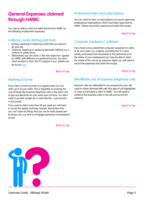### <span id="page-4-0"></span>**General Expenses claimed through HMRC**

You may be able to claim tax relief directly from HMRC for the following employment expenses.

#### Uniforms, work clothing and tools

- Buying, repairing or replacing small tools you need to do your job
- Cleaning, repairing or replacing specialist clothing e.g. a uniform or safety boots
- Alternatively you can claim a 'flat rate deduction' agreed by HMRC with different occupational sectors. You don't need receipts to claim this if it applies to you. Details can be found [here.](https://www.gov.uk/hmrc-internal-manuals/employment-income-manual/eim32712)

#### [Back to top](#page-2-0)

#### Working at home

If you have to work at home on a regular basis you can claim up to £6 per week. This is regarded as covering the cost of things like business telephone calls or the extra cost of gas and electricity for your work area at home. You don't need to provide receipts for a claim like this – just record it on the portal.

If you want to claim more than £6 per week you will need to record the details and keep receipts. Remember that you can't claim for things that you use for both private and business use, e.g. rent or mortgage payments or broadband access.

[Back to top](#page-2-0)

#### Professional fees and subscriptions

You can claim for fees or subscriptions you pay to approved professional organisations which have been approved by HMRC. Please record the expense and retain the receipt.

[Back to top](#page-2-0)

#### Computer hardware / software

If you have to buy substantial computer equipment in order to do your work, e.g. a laptop, providing that it is used wholly, exclusively and necessarily in the performance of the duties of your employment you may be able to claim the whole of the cost as an expense. Again you will need to record the expenses and retain the receipt.

[Back to top](#page-2-0)

#### Identifiable cost of business telephone calls

Business calls are allowable for tax purposes but you will need to obtain itemised bills with that type of call highlighted in order to formulate a claim to HMRC. You will need to evidence the business calls on the bill and record the expense.

[Back to top](#page-2-0)

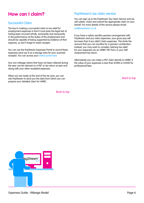## <span id="page-5-0"></span>**How can I claim?**

#### Successful Claim

The key to making a successful claim to tax relief for employment expenses is that it must pass the legal test of having been incurred wholly, exclusively and necessarily in the performance of the duties of the employment and should be capable of being supported by evidence of that expense, so don't forget to retain receipts.

You can use the PayStream Expenses Portal to record these expenses (and use it as a storage area for your scanned receipts). You can access your [online portal here.](https://portal.paystream.co.uk/Login?ReturnUrl=%2f)

Any non-mileage claims that have not been relieved during the year can be claimed on a P87 or tax return at year end along with your other receipted expenses.

When you are ready at the end of the tax year, you can ask PayStream to send you the data from which you can prepare your detailed claim for HMRC.

[Back to top](#page-2-0)

#### PayStream's tax claim service

You can sign up to the PayStream Tax Claim Service and we will collate, check and submit the appropriate claim on your behalf. For more details of this service please email: [tax@paystream.co.uk](mailto:tax%40paystream.co.uk?subject=)

If you have a salary sacrifice pension arrangement with PayStream and you claim expenses, your gross pay will be lower than if you didn't claim expenses. This limits the amount that you can sacrifice for a pension contribution. Instead, you may want to consider claiming tax relief for your expenses via an HMRC P87 form or your Self Assessment tax return.

Alternatively you can make a P87 claim directly to HMRC if the value of your expenses is less than £1000 or £2500 for professional fees.

[Back to top](#page-2-0)